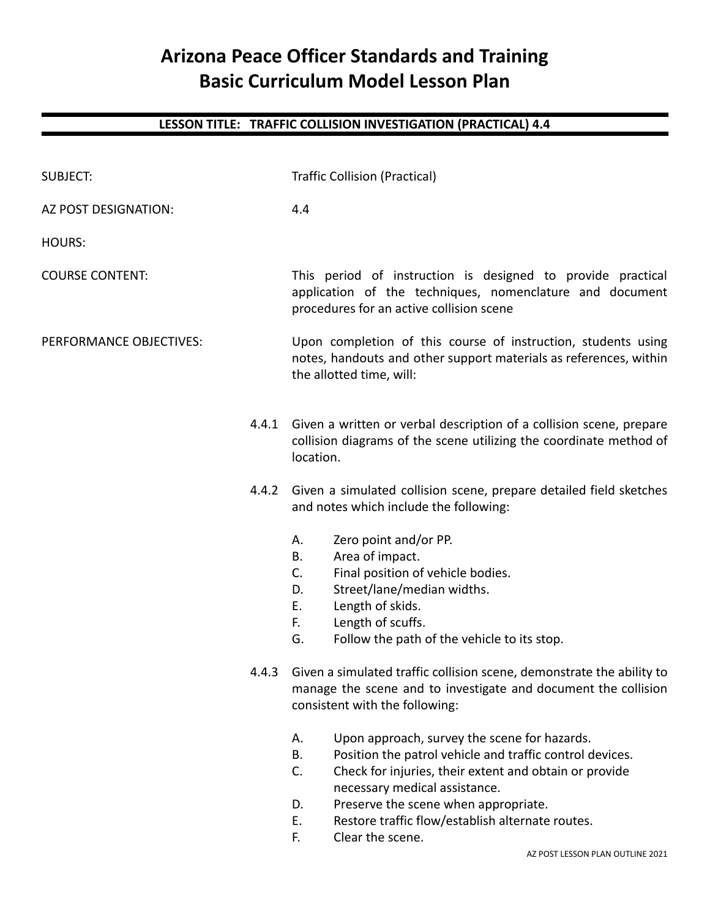## **Arizona Peace Officer Standards and Training Basic Curriculum Model Lesson Plan**

## **LESSON TITLE: TRAFFIC COLLISION INVESTIGATION (PRACTICAL) 4.4**

| <b>SUBJECT:</b>         | <b>Traffic Collision (Practical)</b>                                                                                                                                                                                                                                                                                                                    |  |
|-------------------------|---------------------------------------------------------------------------------------------------------------------------------------------------------------------------------------------------------------------------------------------------------------------------------------------------------------------------------------------------------|--|
| AZ POST DESIGNATION:    | 4.4                                                                                                                                                                                                                                                                                                                                                     |  |
| <b>HOURS:</b>           |                                                                                                                                                                                                                                                                                                                                                         |  |
| <b>COURSE CONTENT:</b>  | This period of instruction is designed to provide practical<br>application of the techniques, nomenclature and document<br>procedures for an active collision scene                                                                                                                                                                                     |  |
| PERFORMANCE OBJECTIVES: | Upon completion of this course of instruction, students using<br>notes, handouts and other support materials as references, within<br>the allotted time, will:                                                                                                                                                                                          |  |
| 4.4.1                   | Given a written or verbal description of a collision scene, prepare<br>collision diagrams of the scene utilizing the coordinate method of<br>location.                                                                                                                                                                                                  |  |
|                         | 4.4.2 Given a simulated collision scene, prepare detailed field sketches<br>and notes which include the following:                                                                                                                                                                                                                                      |  |
|                         | Zero point and/or PP.<br>А.<br>Area of impact.<br>Β.<br>Final position of vehicle bodies.<br>C.<br>Street/lane/median widths.<br>D.<br>Length of skids.<br>Е.<br>Length of scuffs.<br>F.<br>G.<br>Follow the path of the vehicle to its stop.                                                                                                           |  |
|                         | 4.4.3 Given a simulated traffic collision scene, demonstrate the ability to<br>manage the scene and to investigate and document the collision<br>consistent with the following:                                                                                                                                                                         |  |
|                         | Upon approach, survey the scene for hazards.<br>А.<br>Position the patrol vehicle and traffic control devices.<br>В.<br>C.<br>Check for injuries, their extent and obtain or provide<br>necessary medical assistance.<br>Preserve the scene when appropriate.<br>D.<br>Restore traffic flow/establish alternate routes.<br>Ε.<br>F.<br>Clear the scene. |  |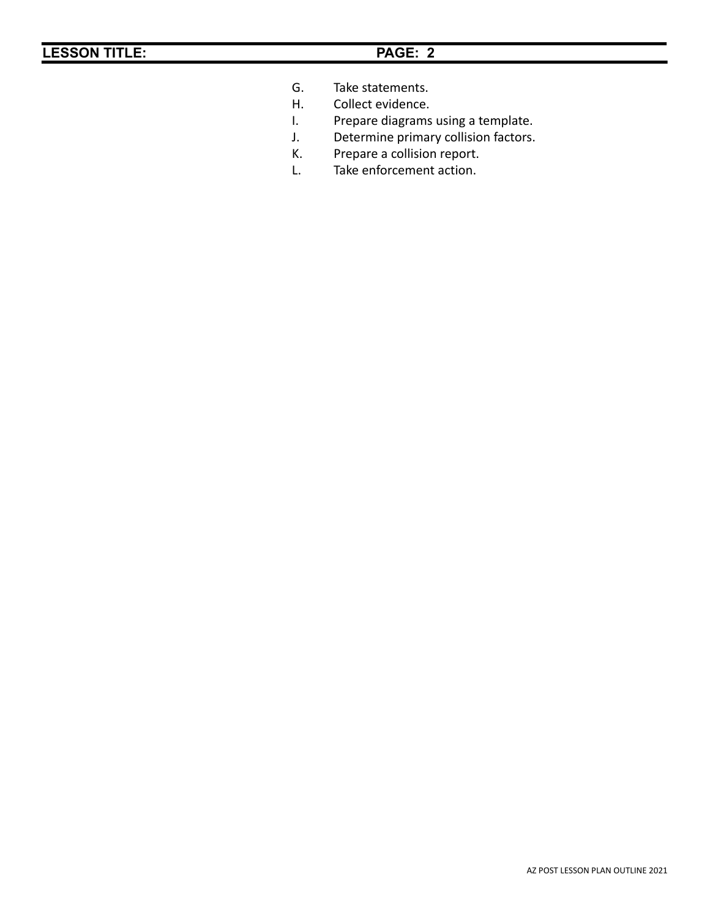- G. Take statements.<br>H. Collect evidence.
	- Collect evidence.
- I. Prepare diagrams using a template.
- J. Determine primary collision factors.
- K. Prepare a collision report.
- L. Take enforcement action.